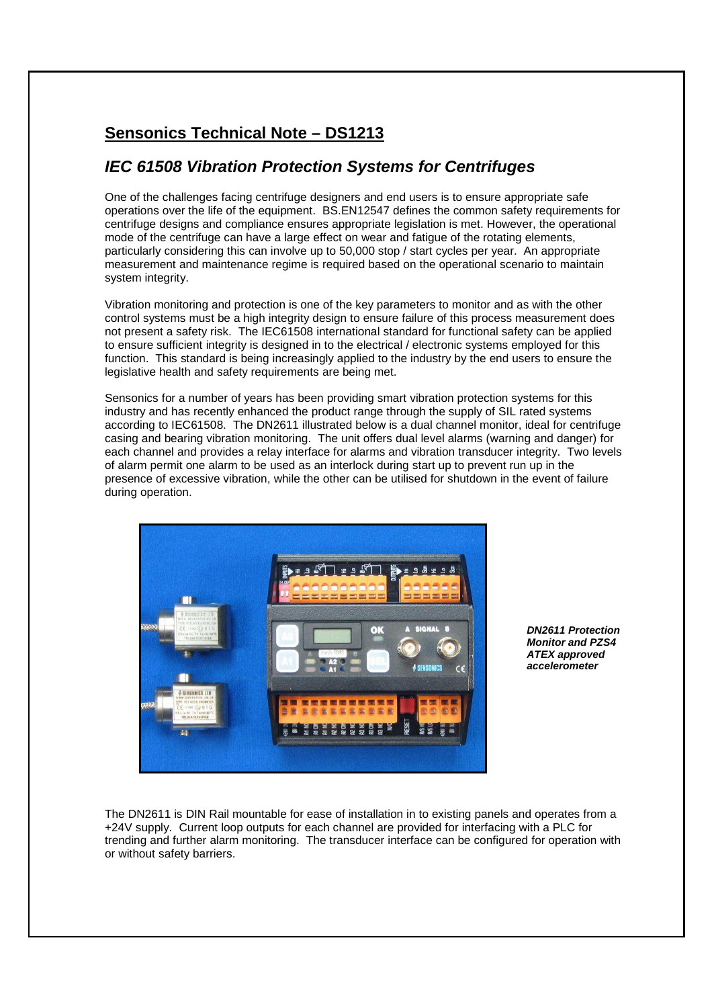## **Sensonics Technical Note – DS1213**

## **IEC 61508 Vibration Protection Systems for Centrifuges**

One of the challenges facing centrifuge designers and end users is to ensure appropriate safe operations over the life of the equipment. BS.EN12547 defines the common safety requirements for centrifuge designs and compliance ensures appropriate legislation is met. However, the operational mode of the centrifuge can have a large effect on wear and fatigue of the rotating elements, particularly considering this can involve up to 50,000 stop / start cycles per year. An appropriate measurement and maintenance regime is required based on the operational scenario to maintain system integrity.

Vibration monitoring and protection is one of the key parameters to monitor and as with the other control systems must be a high integrity design to ensure failure of this process measurement does not present a safety risk. The IEC61508 international standard for functional safety can be applied to ensure sufficient integrity is designed in to the electrical / electronic systems employed for this function. This standard is being increasingly applied to the industry by the end users to ensure the legislative health and safety requirements are being met.

Sensonics for a number of years has been providing smart vibration protection systems for this industry and has recently enhanced the product range through the supply of SIL rated systems according to IEC61508. The DN2611 illustrated below is a dual channel monitor, ideal for centrifuge casing and bearing vibration monitoring. The unit offers dual level alarms (warning and danger) for each channel and provides a relay interface for alarms and vibration transducer integrity. Two levels of alarm permit one alarm to be used as an interlock during start up to prevent run up in the presence of excessive vibration, while the other can be utilised for shutdown in the event of failure during operation.



**DN2611 Protection Monitor and PZS4 ATEX approved accelerometer** 

The DN2611 is DIN Rail mountable for ease of installation in to existing panels and operates from a +24V supply. Current loop outputs for each channel are provided for interfacing with a PLC for trending and further alarm monitoring. The transducer interface can be configured for operation with or without safety barriers.